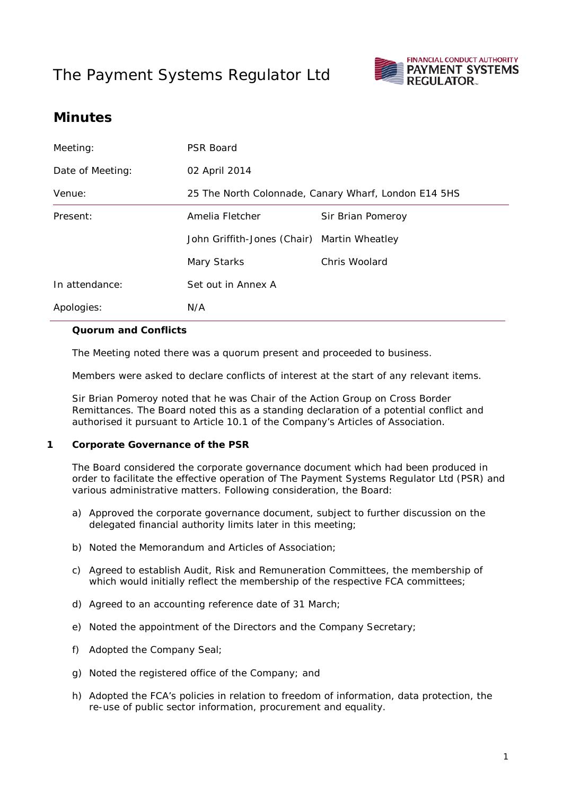# The Payment Systems Regulator Ltd



## **Minutes**

| Meeting:         | <b>PSR Board</b>                                     |                   |
|------------------|------------------------------------------------------|-------------------|
| Date of Meeting: | 02 April 2014                                        |                   |
| Venue:           | 25 The North Colonnade, Canary Wharf, London E14 5HS |                   |
| Present:         | Amelia Fletcher                                      | Sir Brian Pomeroy |
|                  | John Griffith-Jones (Chair) Martin Wheatley          |                   |
|                  | Mary Starks                                          | Chris Woolard     |
| In attendance:   | Set out in Annex A                                   |                   |
| Apologies:       | N/A                                                  |                   |

#### **Quorum and Conflicts**

The Meeting noted there was a quorum present and proceeded to business.

Members were asked to declare conflicts of interest at the start of any relevant items.

Sir Brian Pomeroy noted that he was Chair of the Action Group on Cross Border Remittances. The Board noted this as a standing declaration of a potential conflict and authorised it pursuant to Article 10.1 of the Company's Articles of Association.

#### **1 Corporate Governance of the PSR**

The Board considered the corporate governance document which had been produced in order to facilitate the effective operation of The Payment Systems Regulator Ltd (PSR) and various administrative matters. Following consideration, the Board:

- a) Approved the corporate governance document, subject to further discussion on the delegated financial authority limits later in this meeting;
- b) Noted the Memorandum and Articles of Association;
- c) Agreed to establish Audit, Risk and Remuneration Committees, the membership of which would initially reflect the membership of the respective FCA committees;
- d) Agreed to an accounting reference date of 31 March;
- e) Noted the appointment of the Directors and the Company Secretary;
- f) Adopted the Company Seal;
- g) Noted the registered office of the Company; and
- h) Adopted the FCA's policies in relation to freedom of information, data protection, the re-use of public sector information, procurement and equality.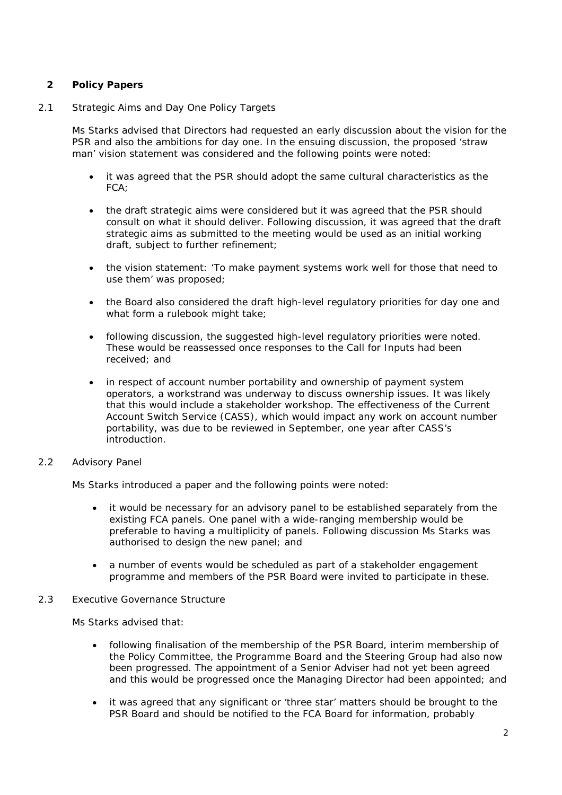### **2 Policy Papers**

#### 2.1 Strategic Aims and Day One Policy Targets

Ms Starks advised that Directors had requested an early discussion about the vision for the PSR and also the ambitions for day one. In the ensuing discussion, the proposed 'straw man' vision statement was considered and the following points were noted:

- it was agreed that the PSR should adopt the same cultural characteristics as the FCA;
- the draft strategic aims were considered but it was agreed that the PSR should consult on what it should deliver. Following discussion, it was agreed that the draft strategic aims as submitted to the meeting would be used as an initial working draft, subject to further refinement;
- the vision statement: 'To make payment systems work well for those that need to use them' was proposed;
- the Board also considered the draft high-level regulatory priorities for day one and what form a rulebook might take;
- following discussion, the suggested high-level regulatory priorities were noted. These would be reassessed once responses to the Call for Inputs had been received; and
- in respect of account number portability and ownership of payment system operators, a workstrand was underway to discuss ownership issues. It was likely that this would include a stakeholder workshop. The effectiveness of the Current Account Switch Service (CASS), which would impact any work on account number portability, was due to be reviewed in September, one year after CASS's introduction.

#### 2.2 Advisory Panel

Ms Starks introduced a paper and the following points were noted:

- it would be necessary for an advisory panel to be established separately from the existing FCA panels. One panel with a wide-ranging membership would be preferable to having a multiplicity of panels. Following discussion Ms Starks was authorised to design the new panel; and
- a number of events would be scheduled as part of a stakeholder engagement programme and members of the PSR Board were invited to participate in these.

#### 2.3 Executive Governance Structure

Ms Starks advised that:

- following finalisation of the membership of the PSR Board, interim membership of the Policy Committee, the Programme Board and the Steering Group had also now been progressed. The appointment of a Senior Adviser had not yet been agreed and this would be progressed once the Managing Director had been appointed; and
- it was agreed that any significant or 'three star' matters should be brought to the PSR Board and should be notified to the FCA Board for information, probably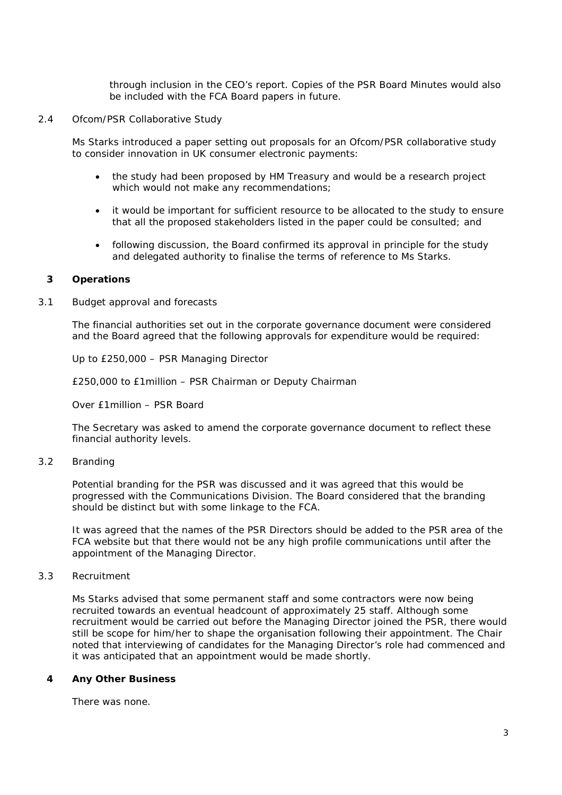through inclusion in the CEO's report. Copies of the PSR Board Minutes would also be included with the FCA Board papers in future.

2.4 Ofcom/PSR Collaborative Study

Ms Starks introduced a paper setting out proposals for an Ofcom/PSR collaborative study to consider innovation in UK consumer electronic payments:

- the study had been proposed by HM Treasury and would be a research project which would not make any recommendations;
- it would be important for sufficient resource to be allocated to the study to ensure that all the proposed stakeholders listed in the paper could be consulted; and
- following discussion, the Board confirmed its approval in principle for the study and delegated authority to finalise the terms of reference to Ms Starks.

#### **3 Operations**

3.1 Budget approval and forecasts

The financial authorities set out in the corporate governance document were considered and the Board agreed that the following approvals for expenditure would be required:

Up to £250,000 – PSR Managing Director

£250,000 to £1million – PSR Chairman or Deputy Chairman

Over £1million – PSR Board

The Secretary was asked to amend the corporate governance document to reflect these financial authority levels.

3.2 Branding

Potential branding for the PSR was discussed and it was agreed that this would be progressed with the Communications Division. The Board considered that the branding should be distinct but with some linkage to the FCA.

It was agreed that the names of the PSR Directors should be added to the PSR area of the FCA website but that there would not be any high profile communications until after the appointment of the Managing Director.

#### 3.3 Recruitment

Ms Starks advised that some permanent staff and some contractors were now being recruited towards an eventual headcount of approximately 25 staff. Although some recruitment would be carried out before the Managing Director joined the PSR, there would still be scope for him/her to shape the organisation following their appointment. The Chair noted that interviewing of candidates for the Managing Director's role had commenced and it was anticipated that an appointment would be made shortly.

#### **4 Any Other Business**

There was none.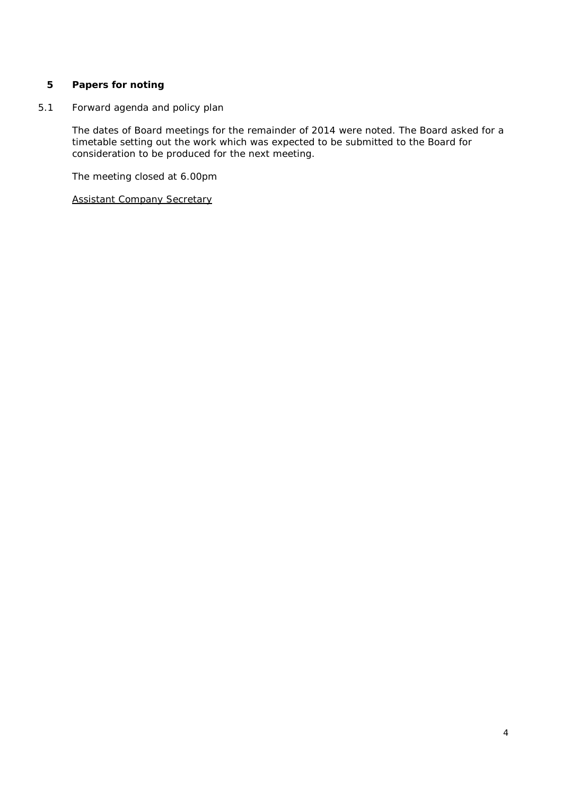### **5 Papers for noting**

5.1 Forward agenda and policy plan

The dates of Board meetings for the remainder of 2014 were noted. The Board asked for a timetable setting out the work which was expected to be submitted to the Board for consideration to be produced for the next meeting.

The meeting closed at 6.00pm

Assistant Company Secretary